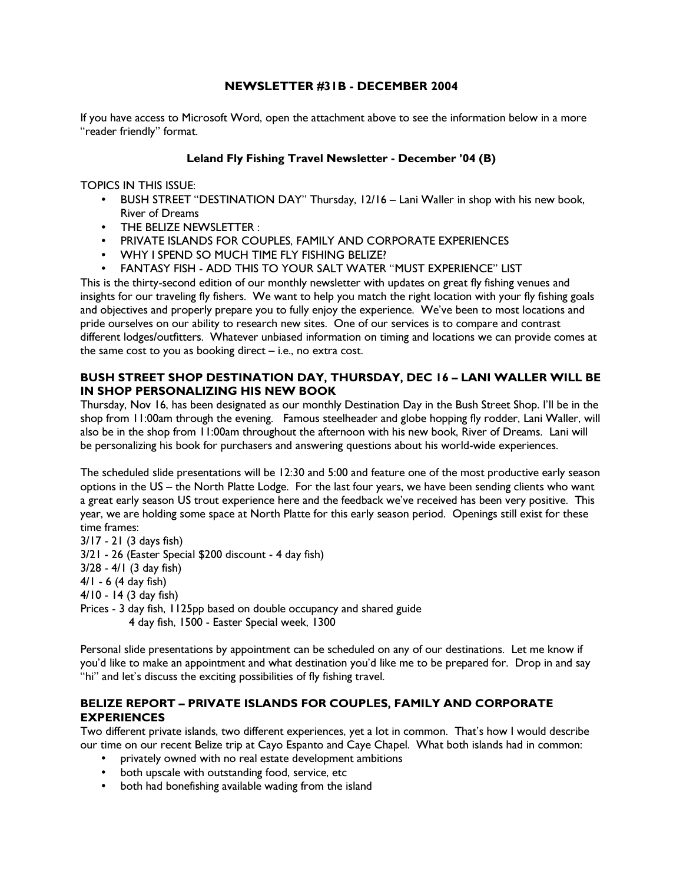## NEWSLETTER #31B - DECEMBER 2004

If you have access to Microsoft Word, open the attachment above to see the information below in a more "reader friendly" format.

#### Leland Fly Fishing Travel Newsletter - December '04 (B)

TOPICS IN THIS ISSUE:

- BUSH STREET "DESTINATION DAY" Thursday, 12/16 Lani Waller in shop with his new book, River of Dreams
- THE BELIZE NEWSLETTER :
- PRIVATE ISLANDS FOR COUPLES, FAMILY AND CORPORATE EXPERIENCES
- WHY I SPEND SO MUCH TIME FLY FISHING BELIZE?
- FANTASY FISH ADD THIS TO YOUR SALT WATER "MUST EXPERIENCE" LIST

This is the thirty-second edition of our monthly newsletter with updates on great fly fishing venues and insights for our traveling fly fishers. We want to help you match the right location with your fly fishing goals and objectives and properly prepare you to fully enjoy the experience. We've been to most locations and pride ourselves on our ability to research new sites. One of our services is to compare and contrast different lodges/outfitters. Whatever unbiased information on timing and locations we can provide comes at the same cost to you as booking direct – i.e., no extra cost.

## BUSH STREET SHOP DESTINATION DAY, THURSDAY, DEC 16 – LANI WALLER WILL BE IN SHOP PERSONALIZING HIS NEW BOOK

Thursday, Nov 16, has been designated as our monthly Destination Day in the Bush Street Shop. I'll be in the shop from 11:00am through the evening. Famous steelheader and globe hopping fly rodder, Lani Waller, will also be in the shop from 11:00am throughout the afternoon with his new book, River of Dreams. Lani will be personalizing his book for purchasers and answering questions about his world-wide experiences.

The scheduled slide presentations will be 12:30 and 5:00 and feature one of the most productive early season options in the US – the North Platte Lodge. For the last four years, we have been sending clients who want a great early season US trout experience here and the feedback we've received has been very positive. This year, we are holding some space at North Platte for this early season period. Openings still exist for these time frames:

3/17 - 21 (3 days fish) 3/21 - 26 (Easter Special \$200 discount - 4 day fish) 3/28 - 4/1 (3 day fish) 4/1 - 6 (4 day fish) 4/10 - 14 (3 day fish) Prices - 3 day fish, 1125pp based on double occupancy and shared guide 4 day fish, 1500 - Easter Special week, 1300

Personal slide presentations by appointment can be scheduled on any of our destinations. Let me know if you'd like to make an appointment and what destination you'd like me to be prepared for. Drop in and say "hi" and let's discuss the exciting possibilities of fly fishing travel.

## BELIZE REPORT – PRIVATE ISLANDS FOR COUPLES, FAMILY AND CORPORATE **EXPERIENCES**

Two different private islands, two different experiences, yet a lot in common. That's how I would describe our time on our recent Belize trip at Cayo Espanto and Caye Chapel. What both islands had in common:

- privately owned with no real estate development ambitions
- both upscale with outstanding food, service, etc
- both had bonefishing available wading from the island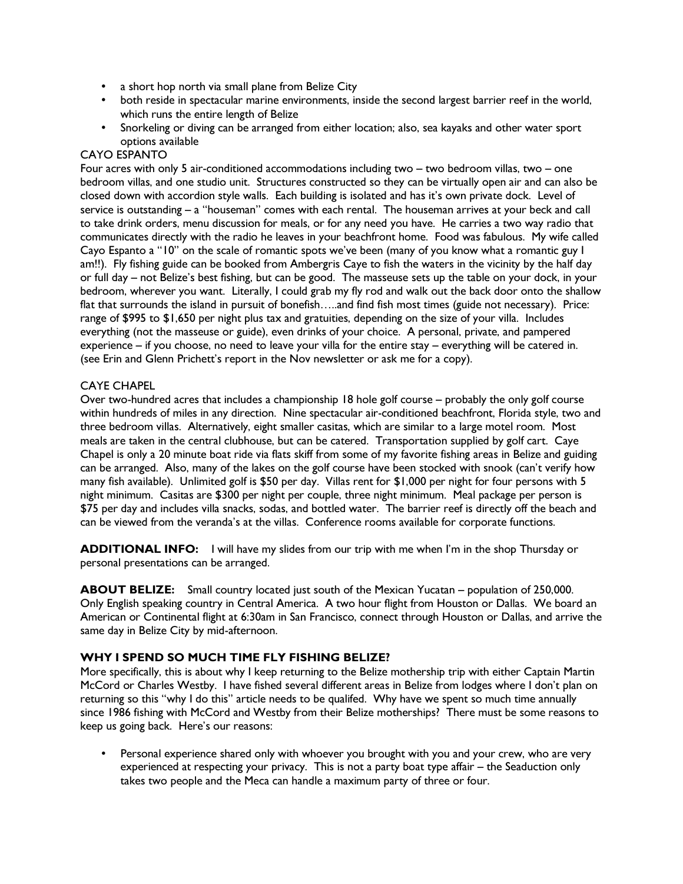- a short hop north via small plane from Belize City
- both reside in spectacular marine environments, inside the second largest barrier reef in the world, which runs the entire length of Belize
- Snorkeling or diving can be arranged from either location; also, sea kayaks and other water sport options available

#### CAYO ESPANTO

Four acres with only 5 air-conditioned accommodations including two – two bedroom villas, two – one bedroom villas, and one studio unit. Structures constructed so they can be virtually open air and can also be closed down with accordion style walls. Each building is isolated and has it's own private dock. Level of service is outstanding – a "houseman" comes with each rental. The houseman arrives at your beck and call to take drink orders, menu discussion for meals, or for any need you have. He carries a two way radio that communicates directly with the radio he leaves in your beachfront home. Food was fabulous. My wife called Cayo Espanto a "10" on the scale of romantic spots we've been (many of you know what a romantic guy I am!!). Fly fishing guide can be booked from Ambergris Caye to fish the waters in the vicinity by the half day or full day – not Belize's best fishing, but can be good. The masseuse sets up the table on your dock, in your bedroom, wherever you want. Literally, I could grab my fly rod and walk out the back door onto the shallow flat that surrounds the island in pursuit of bonefish…..and find fish most times (guide not necessary). Price: range of \$995 to \$1,650 per night plus tax and gratuities, depending on the size of your villa. Includes everything (not the masseuse or guide), even drinks of your choice. A personal, private, and pampered experience – if you choose, no need to leave your villa for the entire stay – everything will be catered in. (see Erin and Glenn Prichett's report in the Nov newsletter or ask me for a copy).

## CAYE CHAPEL

Over two-hundred acres that includes a championship 18 hole golf course – probably the only golf course within hundreds of miles in any direction. Nine spectacular air-conditioned beachfront, Florida style, two and three bedroom villas. Alternatively, eight smaller casitas, which are similar to a large motel room. Most meals are taken in the central clubhouse, but can be catered. Transportation supplied by golf cart. Caye Chapel is only a 20 minute boat ride via flats skiff from some of my favorite fishing areas in Belize and guiding can be arranged. Also, many of the lakes on the golf course have been stocked with snook (can't verify how many fish available). Unlimited golf is \$50 per day. Villas rent for \$1,000 per night for four persons with 5 night minimum. Casitas are \$300 per night per couple, three night minimum. Meal package per person is \$75 per day and includes villa snacks, sodas, and bottled water. The barrier reef is directly off the beach and can be viewed from the veranda's at the villas. Conference rooms available for corporate functions.

ADDITIONAL INFO: I will have my slides from our trip with me when I'm in the shop Thursday or personal presentations can be arranged.

ABOUT BELIZE: Small country located just south of the Mexican Yucatan – population of 250,000. Only English speaking country in Central America. A two hour flight from Houston or Dallas. We board an American or Continental flight at 6:30am in San Francisco, connect through Houston or Dallas, and arrive the same day in Belize City by mid-afternoon.

## WHY I SPEND SO MUCH TIME FLY FISHING BELIZE?

More specifically, this is about why I keep returning to the Belize mothership trip with either Captain Martin McCord or Charles Westby. I have fished several different areas in Belize from lodges where I don't plan on returning so this "why I do this" article needs to be qualifed. Why have we spent so much time annually since 1986 fishing with McCord and Westby from their Belize motherships? There must be some reasons to keep us going back. Here's our reasons:

• Personal experience shared only with whoever you brought with you and your crew, who are very experienced at respecting your privacy. This is not a party boat type affair – the Seaduction only takes two people and the Meca can handle a maximum party of three or four.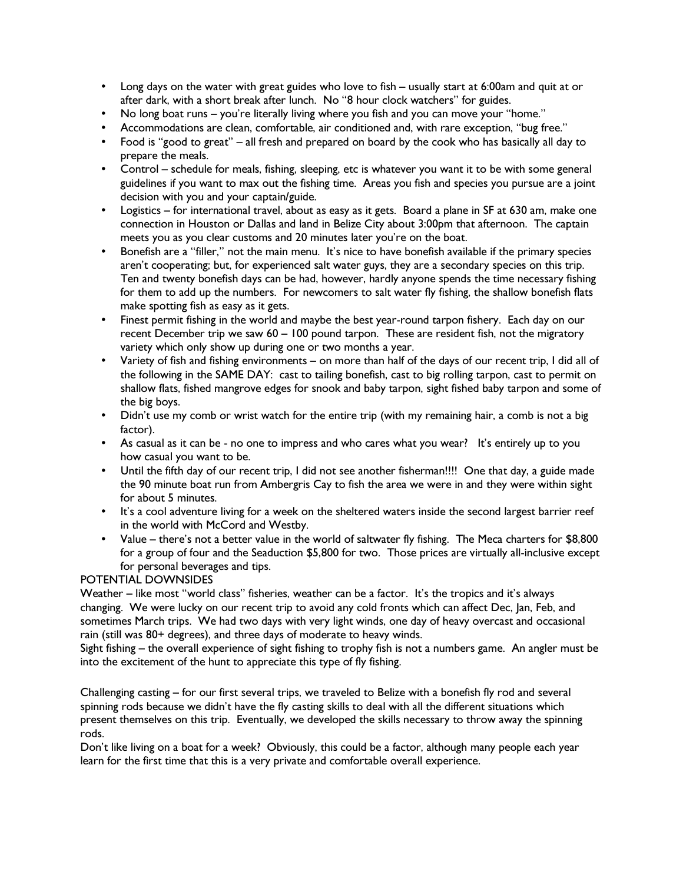- Long days on the water with great guides who love to fish usually start at 6:00am and quit at or after dark, with a short break after lunch. No "8 hour clock watchers" for guides.
- No long boat runs you're literally living where you fish and you can move your "home."
- Accommodations are clean, comfortable, air conditioned and, with rare exception, "bug free."
- Food is "good to great" all fresh and prepared on board by the cook who has basically all day to prepare the meals.
- Control schedule for meals, fishing, sleeping, etc is whatever you want it to be with some general guidelines if you want to max out the fishing time. Areas you fish and species you pursue are a joint decision with you and your captain/guide.
- Logistics for international travel, about as easy as it gets. Board a plane in SF at 630 am, make one connection in Houston or Dallas and land in Belize City about 3:00pm that afternoon. The captain meets you as you clear customs and 20 minutes later you're on the boat.
- Bonefish are a "filler," not the main menu. It's nice to have bonefish available if the primary species aren't cooperating; but, for experienced salt water guys, they are a secondary species on this trip. Ten and twenty bonefish days can be had, however, hardly anyone spends the time necessary fishing for them to add up the numbers. For newcomers to salt water fly fishing, the shallow bonefish flats make spotting fish as easy as it gets.
- Finest permit fishing in the world and maybe the best year-round tarpon fishery. Each day on our recent December trip we saw 60 – 100 pound tarpon. These are resident fish, not the migratory variety which only show up during one or two months a year.
- Variety of fish and fishing environments on more than half of the days of our recent trip, I did all of the following in the SAME DAY: cast to tailing bonefish, cast to big rolling tarpon, cast to permit on shallow flats, fished mangrove edges for snook and baby tarpon, sight fished baby tarpon and some of the big boys.
- Didn't use my comb or wrist watch for the entire trip (with my remaining hair, a comb is not a big factor).
- As casual as it can be no one to impress and who cares what you wear? It's entirely up to you how casual you want to be.
- Until the fifth day of our recent trip, I did not see another fisherman!!!! One that day, a guide made the 90 minute boat run from Ambergris Cay to fish the area we were in and they were within sight for about 5 minutes.
- It's a cool adventure living for a week on the sheltered waters inside the second largest barrier reef in the world with McCord and Westby.
- Value there's not a better value in the world of saltwater fly fishing. The Meca charters for \$8,800 for a group of four and the Seaduction \$5,800 for two. Those prices are virtually all-inclusive except for personal beverages and tips.

# POTENTIAL DOWNSIDES

Weather – like most "world class" fisheries, weather can be a factor. It's the tropics and it's always changing. We were lucky on our recent trip to avoid any cold fronts which can affect Dec, Jan, Feb, and sometimes March trips. We had two days with very light winds, one day of heavy overcast and occasional rain (still was 80+ degrees), and three days of moderate to heavy winds.

Sight fishing – the overall experience of sight fishing to trophy fish is not a numbers game. An angler must be into the excitement of the hunt to appreciate this type of fly fishing.

Challenging casting – for our first several trips, we traveled to Belize with a bonefish fly rod and several spinning rods because we didn't have the fly casting skills to deal with all the different situations which present themselves on this trip. Eventually, we developed the skills necessary to throw away the spinning rods.

Don't like living on a boat for a week? Obviously, this could be a factor, although many people each year learn for the first time that this is a very private and comfortable overall experience.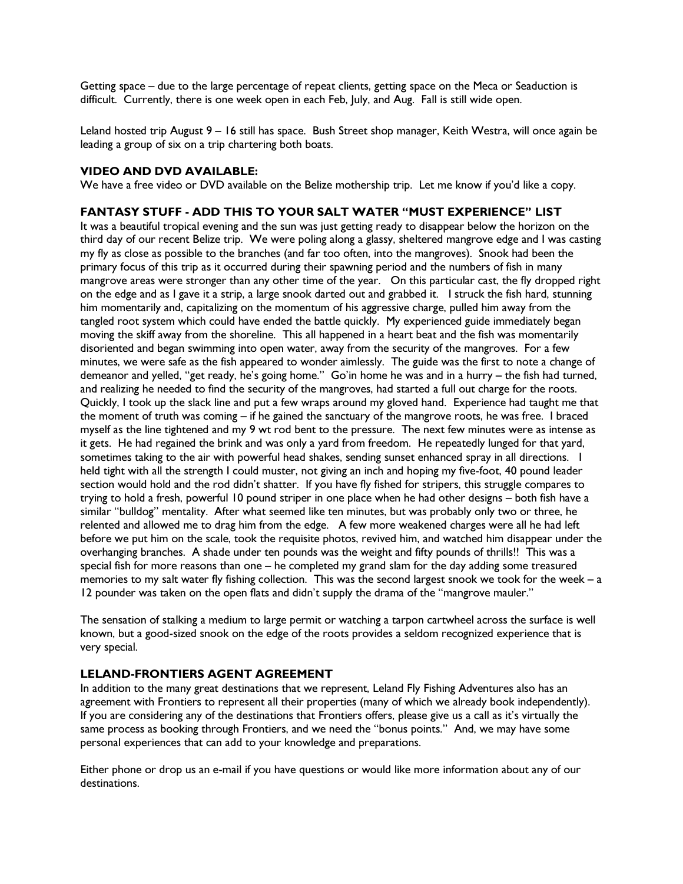Getting space – due to the large percentage of repeat clients, getting space on the Meca or Seaduction is difficult. Currently, there is one week open in each Feb, July, and Aug. Fall is still wide open.

Leland hosted trip August 9 – 16 still has space. Bush Street shop manager, Keith Westra, will once again be leading a group of six on a trip chartering both boats.

#### VIDEO AND DVD AVAILABLE:

We have a free video or DVD available on the Belize mothership trip. Let me know if you'd like a copy.

#### FANTASY STUFF - ADD THIS TO YOUR SALT WATER "MUST EXPERIENCE" LIST

It was a beautiful tropical evening and the sun was just getting ready to disappear below the horizon on the third day of our recent Belize trip. We were poling along a glassy, sheltered mangrove edge and I was casting my fly as close as possible to the branches (and far too often, into the mangroves). Snook had been the primary focus of this trip as it occurred during their spawning period and the numbers of fish in many mangrove areas were stronger than any other time of the year. On this particular cast, the fly dropped right on the edge and as I gave it a strip, a large snook darted out and grabbed it. I struck the fish hard, stunning him momentarily and, capitalizing on the momentum of his aggressive charge, pulled him away from the tangled root system which could have ended the battle quickly. My experienced guide immediately began moving the skiff away from the shoreline. This all happened in a heart beat and the fish was momentarily disoriented and began swimming into open water, away from the security of the mangroves. For a few minutes, we were safe as the fish appeared to wonder aimlessly. The guide was the first to note a change of demeanor and yelled, "get ready, he's going home." Go'in home he was and in a hurry – the fish had turned, and realizing he needed to find the security of the mangroves, had started a full out charge for the roots. Quickly, I took up the slack line and put a few wraps around my gloved hand. Experience had taught me that the moment of truth was coming – if he gained the sanctuary of the mangrove roots, he was free. I braced myself as the line tightened and my 9 wt rod bent to the pressure. The next few minutes were as intense as it gets. He had regained the brink and was only a yard from freedom. He repeatedly lunged for that yard, sometimes taking to the air with powerful head shakes, sending sunset enhanced spray in all directions. I held tight with all the strength I could muster, not giving an inch and hoping my five-foot, 40 pound leader section would hold and the rod didn't shatter. If you have fly fished for stripers, this struggle compares to trying to hold a fresh, powerful 10 pound striper in one place when he had other designs – both fish have a similar "bulldog" mentality. After what seemed like ten minutes, but was probably only two or three, he relented and allowed me to drag him from the edge. A few more weakened charges were all he had left before we put him on the scale, took the requisite photos, revived him, and watched him disappear under the overhanging branches. A shade under ten pounds was the weight and fifty pounds of thrills!! This was a special fish for more reasons than one – he completed my grand slam for the day adding some treasured memories to my salt water fly fishing collection. This was the second largest snook we took for the week – a 12 pounder was taken on the open flats and didn't supply the drama of the "mangrove mauler."

The sensation of stalking a medium to large permit or watching a tarpon cartwheel across the surface is well known, but a good-sized snook on the edge of the roots provides a seldom recognized experience that is very special.

## LELAND-FRONTIERS AGENT AGREEMENT

In addition to the many great destinations that we represent, Leland Fly Fishing Adventures also has an agreement with Frontiers to represent all their properties (many of which we already book independently). If you are considering any of the destinations that Frontiers offers, please give us a call as it's virtually the same process as booking through Frontiers, and we need the "bonus points." And, we may have some personal experiences that can add to your knowledge and preparations.

Either phone or drop us an e-mail if you have questions or would like more information about any of our destinations.